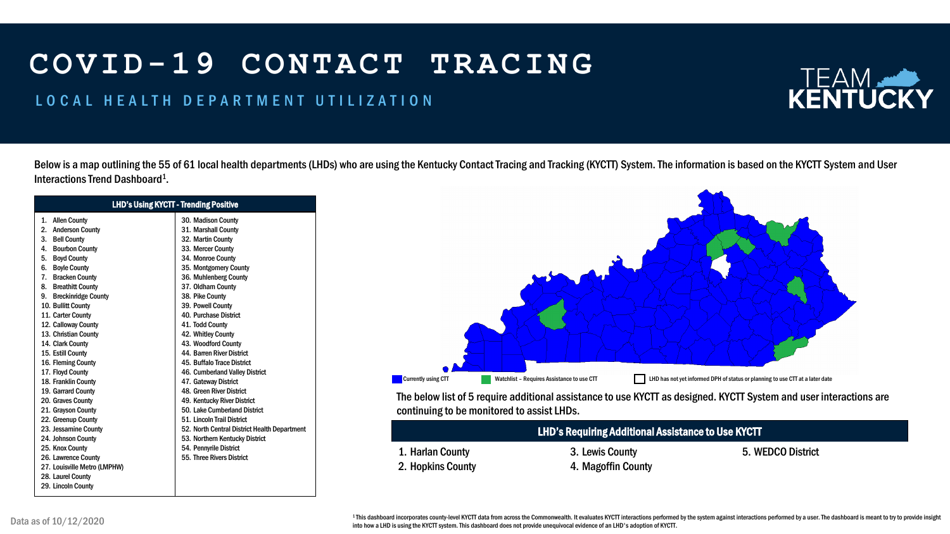#### LOCAL HEALTH DEPARTMENT UTILIZATION

#### The below list of 5 require additional assistance to use KYCTT as designed. KYCTT System and user interactions are

continuing to be monitored to assist LHDs.

Below is a map outlining the 55 of 61 local health departments (LHDs) who are using the Kentucky Contact Tracing and Tracking (KYCTT) System. The information is based on the KYCTT System and User Interactions Trend Dashboard<sup>1</sup>.

| <b>LHD's Using KYCTT - Trending Positive</b> |                                              |  |
|----------------------------------------------|----------------------------------------------|--|
| <b>Allen County</b><br>1.                    | 30. Madison County                           |  |
| 2.<br><b>Anderson County</b>                 | 31. Marshall County                          |  |
| <b>Bell County</b><br>3.                     | 32. Martin County                            |  |
| <b>Bourbon County</b><br>4.                  | 33. Mercer County                            |  |
| <b>Boyd County</b><br>5.                     | 34. Monroe County                            |  |
| <b>Boyle County</b><br>6.                    | 35. Montgomery County                        |  |
| <b>Bracken County</b><br>7.                  | 36. Muhlenberg County                        |  |
| <b>Breathitt County</b><br>8.                | 37. Oldham County                            |  |
| 9. Breckinridge County                       | 38. Pike County                              |  |
| 10. Bullitt County                           | 39. Powell County                            |  |
| 11. Carter County                            | <b>40. Purchase District</b>                 |  |
| 12. Calloway County                          | 41. Todd County                              |  |
| 13. Christian County                         | 42. Whitley County                           |  |
| 14. Clark County                             | 43. Woodford County                          |  |
| 15. Estill County                            | 44. Barren River District                    |  |
| 16. Fleming County                           | 45. Buffalo Trace District                   |  |
| 17. Floyd County                             | <b>46. Cumberland Valley District</b>        |  |
| 18. Franklin County                          | 47. Gateway District                         |  |
| 19. Garrard County                           | 48. Green River District                     |  |
| 20. Graves County                            | 49. Kentucky River District                  |  |
| 21. Grayson County                           | 50. Lake Cumberland District                 |  |
| 22. Greenup County                           | 51. Lincoln Trail District                   |  |
| 23. Jessamine County                         | 52. North Central District Health Department |  |
| 24. Johnson County                           | 53. Northern Kentucky District               |  |
| 25. Knox County                              | 54. Pennyrile District                       |  |
| 26. Lawrence County                          | 55. Three Rivers District                    |  |
| 27. Louisville Metro (LMPHW)                 |                                              |  |
| 28. Laurel County                            |                                              |  |
| 29. Lincoln County                           |                                              |  |
|                                              |                                              |  |

#### LHD's Requiring Additional Assistance to Use KYCTT

- 1. Harlan County
- 2. Hopkins County

## TEAM

3. Lewis County 4. Magoffin County 5. WEDCO District

<sup>1</sup>This dashboard incorporates county-level KYCTT data from across the Commonwealth. It evaluates KYCTT interactions performed by the system against interactions performed by a user. The dashboard is meant to try to provid

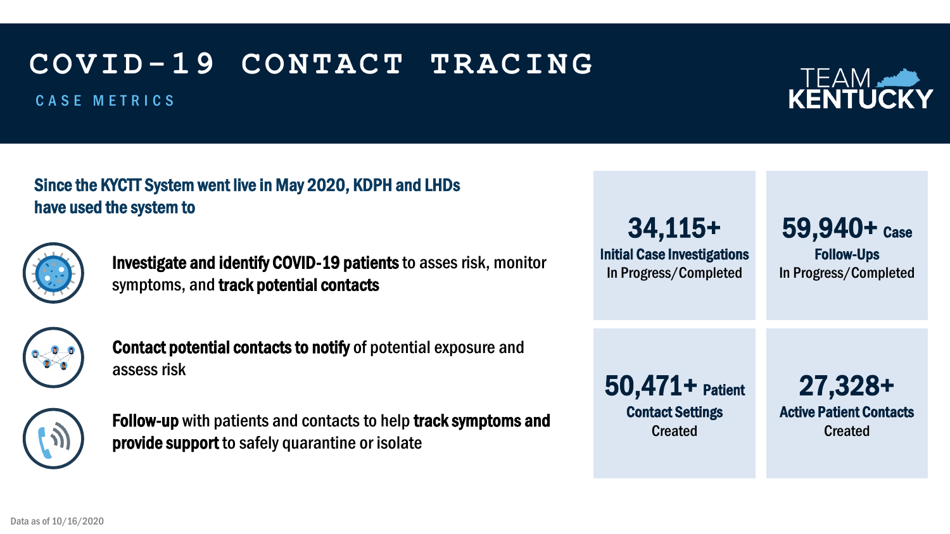### **COVID-19 CONTACT TRACING** C A S E M E T R I C S

Since the KYCTT System went live in May 2020, KDPH and LHDs have used the system to



### 34,115+

Initial Case Investigations In Progress/Completed

### 50,471+ Patient Contact Settings Created

27,328+ Active Patient Contacts Created

### 59,940+ Case

Follow-Ups In Progress/Completed

## **TEAM WE**<br>KENTUCKY

Investigate and identify COVID-19 patients to asses risk, monitor symptoms, and track potential contacts



Contact potential contacts to notify of potential exposure and assess risk



Follow-up with patients and contacts to help track symptoms and provide support to safely quarantine or isolate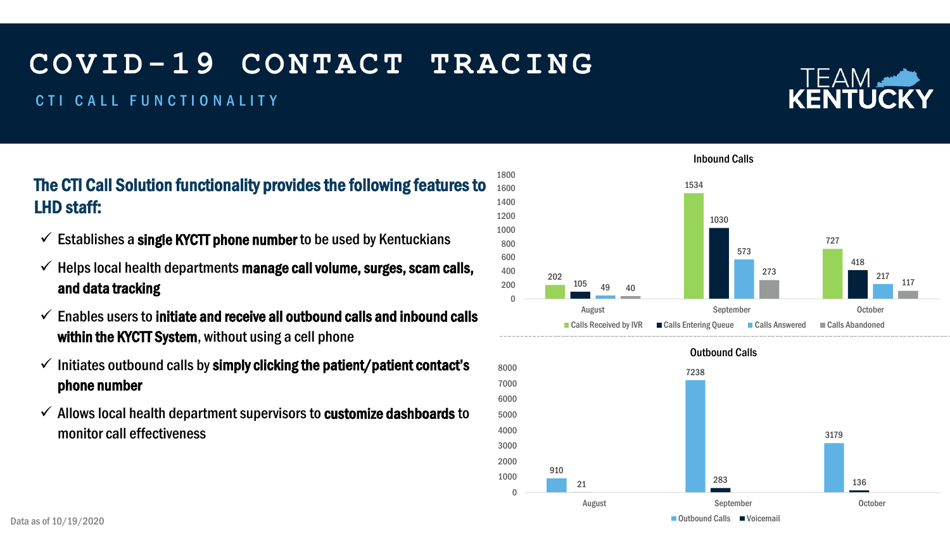#### C TI C A L L F U N C T I O N A L I T Y

| The CTI Call Solution functionality provides the following features to<br><b>LHD staff:</b>                                       | 1800<br>1600<br>1400<br>1200      |     |
|-----------------------------------------------------------------------------------------------------------------------------------|-----------------------------------|-----|
| Establishes a single KYCTT phone number to be used by Kentuckians<br>$\checkmark$                                                 | 1000<br>800                       |     |
| Helps local health departments manage call volume, surges, scam calls,<br>and data tracking                                       | 600<br>400<br>200<br>$\mathbf{0}$ | 202 |
| Enables users to initiate and receive all outbound calls and inbound calls<br>within the KYCTT System, without using a cell phone |                                   |     |
| Initiates outbound calls by simply clicking the patient/patient contact's<br>phone number                                         | 8000<br>7000                      |     |
| Allows local health department supervisors to customize dashboards to<br>$\checkmark$<br>monitor call effectiveness               | 6000<br>5000<br>4000              |     |
|                                                                                                                                   | 3000<br>2000<br>1000              | 910 |
|                                                                                                                                   | $\mathbf{0}$                      |     |

## TEAM

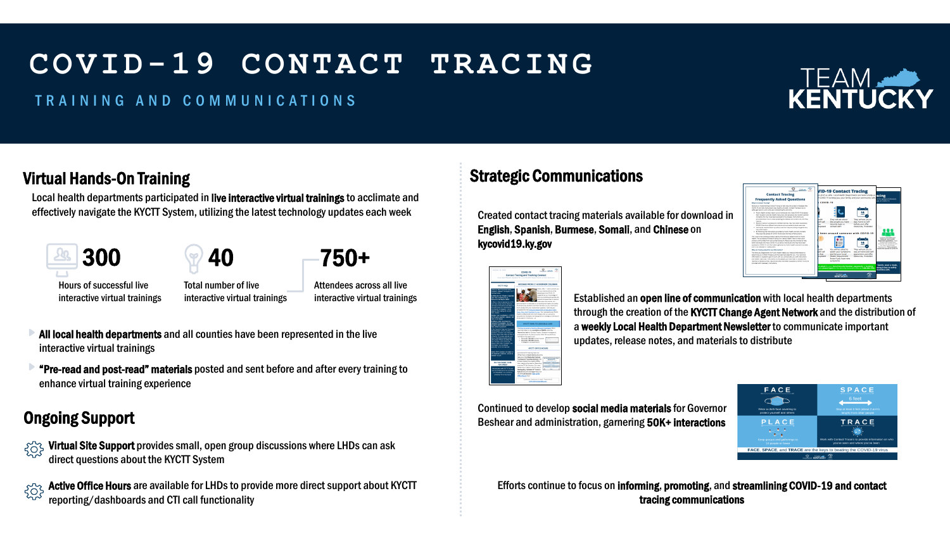T R A I N I N G A N D C O M M U N I C A T I O N S

Created contact tracing materials available for download in English, Spanish, Burmese, Somali, and Chinese on kycovid19.ky.gov



Established an open line of communication with local health departments through the creation of the KYCTT Change Agent Network and the distribution of a weekly Local Health Department Newsletter to communicate important updates, release notes, and materials to distribute



 $\{\bigcirc\}$  Virtual Site Support provides small, open group discussions where LHDs can ask direct questions about the KYCTT System



Continued to develop social media materials for Governor Beshear and administration, garnering 50K+ interactions

Attendees across all live interactive virtual trainings

750+

Total number of live interactive virtual trainings



"Pre-read and post-read" materials posted and sent before and after every training to enhance virtual training experience

All local health departments and all counties have been represented in the live interactive virtual trainings

Active Office Hours are available for LHDs to provide more direct support about KYCTT reporting/dashboards and CTI call functionality

#### Virtual Hands-On Training

Local health departments participated in live interactive virtual trainings to acclimate and effectively navigate the KYCTT System, utilizing the latest technology updates each week

#### Ongoing Support



#### Strategic Communications

Hours of successful live interactive virtual trainings



Efforts continue to focus on informing, promoting, and streamlining COVID-19 and contact tracing communications

# **TEAM WENTUCKY**